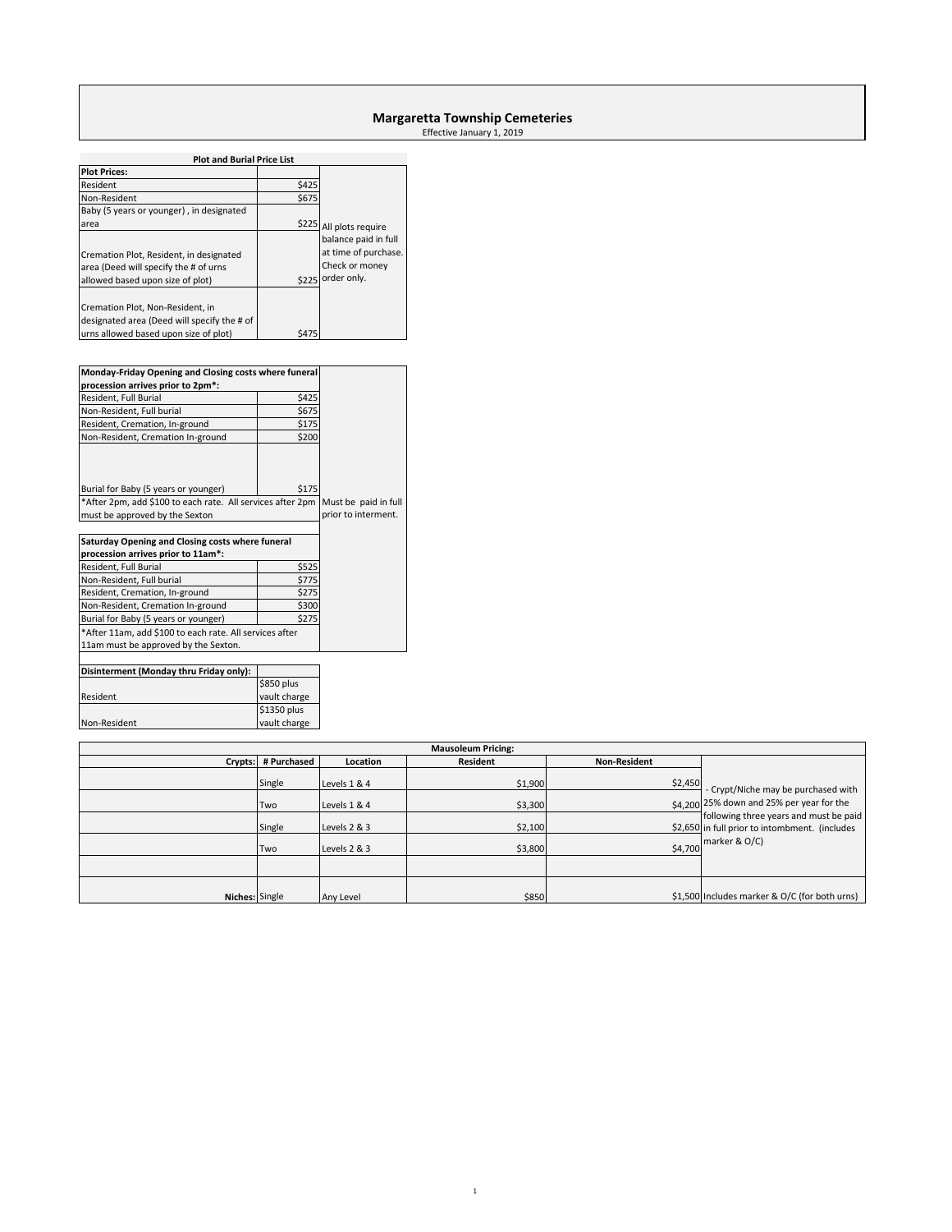# **Margaretta Township Cemeteries**

Effective January 1, 2019

| <b>Plot and Burial Price List</b>                                                                                                    |                                             |                                                                               |
|--------------------------------------------------------------------------------------------------------------------------------------|---------------------------------------------|-------------------------------------------------------------------------------|
| <b>Plot Prices:</b>                                                                                                                  |                                             |                                                                               |
| Resident                                                                                                                             | \$425                                       |                                                                               |
| Non-Resident                                                                                                                         | \$675                                       |                                                                               |
| Baby (5 years or younger), in designated                                                                                             |                                             |                                                                               |
| area                                                                                                                                 |                                             | \$225 All plots require                                                       |
| Cremation Plot, Resident, in designated<br>area (Deed will specify the # of urns<br>allowed based upon size of plot)                 | \$225                                       | balance paid in full<br>at time of purchase.<br>Check or money<br>order only. |
| Cremation Plot, Non-Resident, in<br>designated area (Deed will specify the # of                                                      |                                             |                                                                               |
|                                                                                                                                      |                                             |                                                                               |
| urns allowed based upon size of plot)                                                                                                | \$475                                       |                                                                               |
|                                                                                                                                      |                                             |                                                                               |
| Monday-Friday Opening and Closing costs where funeral                                                                                |                                             |                                                                               |
| procession arrives prior to 2pm*:                                                                                                    |                                             |                                                                               |
| Resident, Full Burial                                                                                                                | \$425                                       |                                                                               |
| Non-Resident, Full burial                                                                                                            | \$675                                       |                                                                               |
| Resident, Cremation, In-ground                                                                                                       | \$175                                       |                                                                               |
| Non-Resident, Cremation In-ground                                                                                                    | \$200                                       |                                                                               |
| Burial for Baby (5 years or younger)<br>*After 2pm, add \$100 to each rate. All services after 2pm<br>must be approved by the Sexton | Must be paid in full<br>prior to interment. |                                                                               |
|                                                                                                                                      |                                             |                                                                               |
| Saturday Opening and Closing costs where funeral<br>procession arrives prior to 11am*:                                               |                                             |                                                                               |
| Resident, Full Burial                                                                                                                | \$525                                       |                                                                               |
| Non-Resident, Full burial                                                                                                            | \$775                                       |                                                                               |
| Resident, Cremation, In-ground                                                                                                       | \$275                                       |                                                                               |
| Non-Resident, Cremation In-ground                                                                                                    |                                             |                                                                               |
| Burial for Baby (5 years or younger)                                                                                                 |                                             |                                                                               |
| *After 11am, add \$100 to each rate. All services after                                                                              |                                             |                                                                               |
| 11am must be approved by the Sexton.                                                                                                 |                                             |                                                                               |
|                                                                                                                                      |                                             |                                                                               |
|                                                                                                                                      |                                             |                                                                               |

| Disinterment (Monday thru Friday only): |              |
|-----------------------------------------|--------------|
|                                         | \$850 plus   |
| Resident                                | vault charge |
|                                         | \$1350 plus  |
| Non-Resident                            | vault charge |

| <b>Mausoleum Pricing:</b> |               |                              |                    |                     |                                                                                                                   |  |  |
|---------------------------|---------------|------------------------------|--------------------|---------------------|-------------------------------------------------------------------------------------------------------------------|--|--|
| Crypts:                   | # Purchased   | Location                     | Resident           | <b>Non-Resident</b> |                                                                                                                   |  |  |
|                           | Single<br>Two | Levels 1 & 4<br>Levels 1 & 4 | \$1,900<br>\$3,300 | \$2,450             | - Crypt/Niche may be purchased with<br>\$4.200 25% down and 25% per year for the                                  |  |  |
|                           | Single        | Levels 2 & 3                 | \$2,100            |                     | following three years and must be paid<br>\$2,650 in full prior to intombment. (includes<br>\$4,700 marker & O/C) |  |  |
|                           | Two           | Levels 2 & 3                 | \$3,800            |                     |                                                                                                                   |  |  |
|                           |               |                              |                    |                     |                                                                                                                   |  |  |
| Niches: Single            |               | Any Level                    | \$850              |                     | \$1,500 Includes marker & O/C (for both urns)                                                                     |  |  |